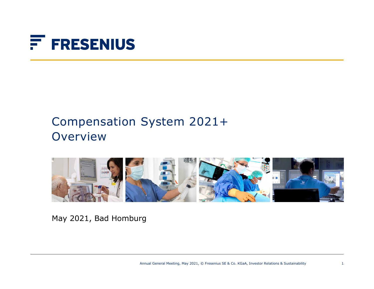# F FRESENIUS

# Compensation System 2021+ **Overview**



May 2021, Bad Homburg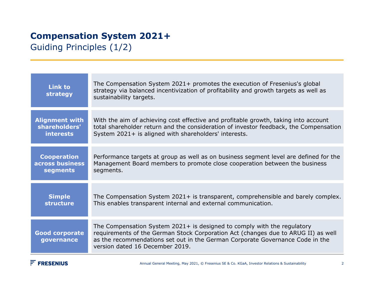Guiding Principles (1/2)

| <b>Link to</b><br>strategy          | The Compensation System 2021+ promotes the execution of Fresenius's global<br>strategy via balanced incentivization of profitability and growth targets as well as<br>sustainability targets.                                                                                    |
|-------------------------------------|----------------------------------------------------------------------------------------------------------------------------------------------------------------------------------------------------------------------------------------------------------------------------------|
| <b>Alignment with</b>               | With the aim of achieving cost effective and profitable growth, taking into account                                                                                                                                                                                              |
| shareholders'                       | total shareholder return and the consideration of investor feedback, the Compensation                                                                                                                                                                                            |
| <b>interests</b>                    | System 2021+ is aligned with shareholders' interests.                                                                                                                                                                                                                            |
| <b>Cooperation</b>                  | Performance targets at group as well as on business segment level are defined for the                                                                                                                                                                                            |
| across business                     | Management Board members to promote close cooperation between the business                                                                                                                                                                                                       |
| segments                            | segments.                                                                                                                                                                                                                                                                        |
| <b>Simple</b>                       | The Compensation System 2021+ is transparent, comprehensible and barely complex.                                                                                                                                                                                                 |
| structure                           | This enables transparent internal and external communication.                                                                                                                                                                                                                    |
| <b>Good corporate</b><br>governance | The Compensation System 2021+ is designed to comply with the regulatory<br>requirements of the German Stock Corporation Act (changes due to ARUG II) as well<br>as the recommendations set out in the German Corporate Governance Code in the<br>version dated 16 December 2019. |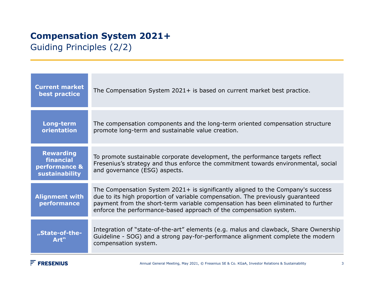Guiding Principles (2/2)

| <b>Current market</b><br>best practice                           | The Compensation System 2021+ is based on current market best practice.                                                                                                                                                                                                                                                     |
|------------------------------------------------------------------|-----------------------------------------------------------------------------------------------------------------------------------------------------------------------------------------------------------------------------------------------------------------------------------------------------------------------------|
| Long-term<br>orientation                                         | The compensation components and the long-term oriented compensation structure<br>promote long-term and sustainable value creation.                                                                                                                                                                                          |
| <b>Rewarding</b><br>financial<br>performance &<br>sustainability | To promote sustainable corporate development, the performance targets reflect<br>Fresenius's strategy and thus enforce the commitment towards environmental, social<br>and governance (ESG) aspects.                                                                                                                        |
| <b>Alignment with</b><br>performance                             | The Compensation System 2021+ is significantly aligned to the Company's success<br>due to its high proportion of variable compensation. The previously guaranteed<br>payment from the short-term variable compensation has been eliminated to further<br>enforce the performance-based approach of the compensation system. |
| "State-of-the-<br>Art"                                           | Integration of "state-of-the-art" elements (e.g. malus and clawback, Share Ownership<br>Guideline - SOG) and a strong pay-for-performance alignment complete the modern<br>compensation system.                                                                                                                             |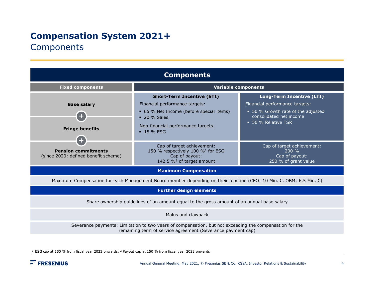### **Components**

| <b>Components</b>                                                                                                                                                      |                                                                                                                                        |                                                                              |  |  |
|------------------------------------------------------------------------------------------------------------------------------------------------------------------------|----------------------------------------------------------------------------------------------------------------------------------------|------------------------------------------------------------------------------|--|--|
| <b>Fixed components</b>                                                                                                                                                | <b>Variable components</b>                                                                                                             |                                                                              |  |  |
|                                                                                                                                                                        | <b>Short-Term Incentive (STI)</b>                                                                                                      | <b>Long-Term Incentive (LTI)</b>                                             |  |  |
| <b>Base salary</b>                                                                                                                                                     | Financial performance targets:                                                                                                         | Financial performance targets:                                               |  |  |
| ÷                                                                                                                                                                      | • 65 % Net Income (before special items)<br>$\bullet$ 20 % Sales                                                                       | • 50 % Growth rate of the adjusted<br>consolidated net income                |  |  |
| <b>Fringe benefits</b>                                                                                                                                                 | Non-financial performance targets:<br>$-15%$ FSG                                                                                       | • 50 % Relative TSR                                                          |  |  |
| <b>Pension commitments</b><br>(since 2020: defined benefit scheme)                                                                                                     | Cap of target achievement:<br>150 % respectively 100 % <sup>1</sup> for ESG<br>Cap of payout:<br>142.5 % <sup>2</sup> of target amount | Cap of target achievement:<br>200%<br>Cap of payout:<br>250 % of grant value |  |  |
| <b>Maximum Compensation</b>                                                                                                                                            |                                                                                                                                        |                                                                              |  |  |
| Maximum Compensation for each Management Board member depending on their function (CEO: 10 Mio. €, OBM: 6.5 Mio. €)                                                    |                                                                                                                                        |                                                                              |  |  |
| <b>Further design elements</b>                                                                                                                                         |                                                                                                                                        |                                                                              |  |  |
| Share ownership guidelines of an amount equal to the gross amount of an annual base salary                                                                             |                                                                                                                                        |                                                                              |  |  |
| Malus and clawback                                                                                                                                                     |                                                                                                                                        |                                                                              |  |  |
| Severance payments: Limitation to two years of compensation, but not exceeding the compensation for the<br>remaining term of service agreement (Severance payment cap) |                                                                                                                                        |                                                                              |  |  |

 $<sup>1</sup>$  ESG cap at 150 % from fiscal year 2023 onwards; <sup>2</sup> Payout cap at 150 % from fiscal year 2023 onwards</sup>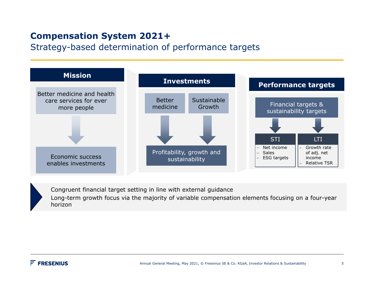Strategy-based determination of performance targets



Congruent financial target setting in line with external guidance

Long-term growth focus via the majority of variable compensation elements focusing on a four-year horizon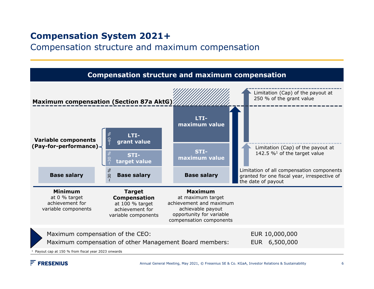Compensation structure and maximum compensation



#### $F$  FRESENIUS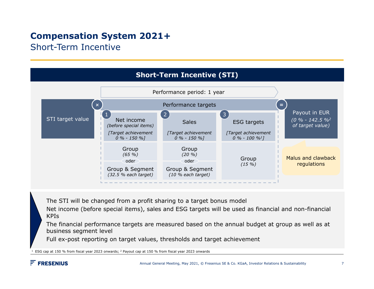Short-Term Incentive



The STI will be changed from a profit sharing to a target bonus model

Net income (before special items), sales and ESG targets will be used as financial and non-financial KPIs

The financial performance targets are measured based on the annual budget at group as well as at business segment level

Full ex-post reporting on target values, thresholds and target achievement

ESG cap at 150 % from fiscal year 2023 onwards; 2 Payout cap at 150 % from fiscal year 2023 onwards

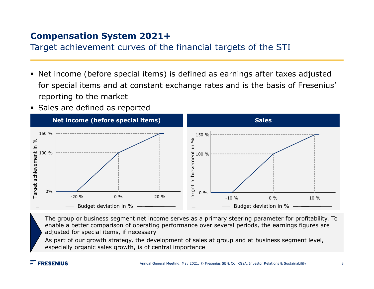Target achievement curves of the financial targets of the STI

- Net income (before special items) is defined as earnings after taxes adjusted for special items and at constant exchange rates and is the basis of Fresenius' reporting to the market
- **Sales are defined as reported**



The group or business segment net income serves as a primary steering parameter for profitability. To enable a better comparison of operating performance over several periods, the earnings figures are adjusted for special items, if necessary

As part of our growth strategy, the development of sales at group and at business segment level, especially organic sales growth, is of central importance

#### $F$  FRESENIUS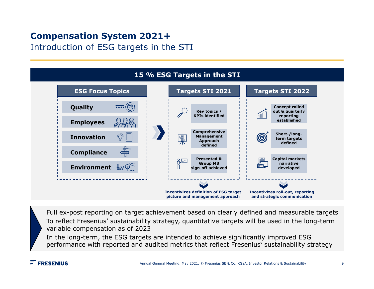Introduction of ESG targets in the STI



Full ex-post reporting on target achievement based on clearly defined and measurable targets To reflect Fresenius' sustainability strategy, quantitative targets will be used in the long-term variable compensation as of 2023

In the long-term, the ESG targets are intended to achieve significantly improved ESG performance with reported and audited metrics that reflect Fresenius' sustainability strategy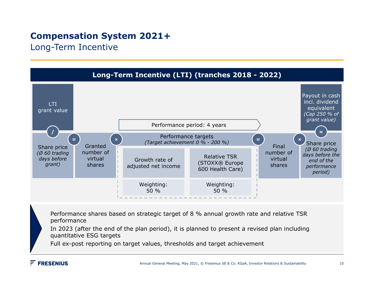Long-Term Incentive



Performance shares based on strategic target of 8 % annual growth rate and relative TSR performance

In 2023 (after the end of the plan period), it is planned to present a revised plan including quantitative ESG targets

Full ex-post reporting on target values, thresholds and target achievement

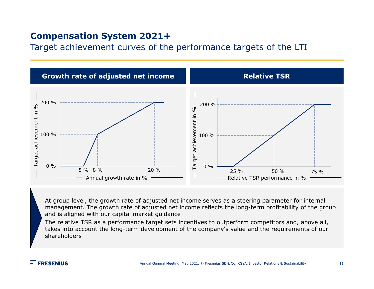Target achievement curves of the performance targets of the LTI



At group level, the growth rate of adjusted net income serves as a steering parameter for internal management. The growth rate of adjusted net income reflects the long-term profitability of the group and is aligned with our capital market guidance

The relative TSR as a performance target sets incentives to outperform competitors and, above all, takes into account the long-term development of the company's value and the requirements of our shareholders